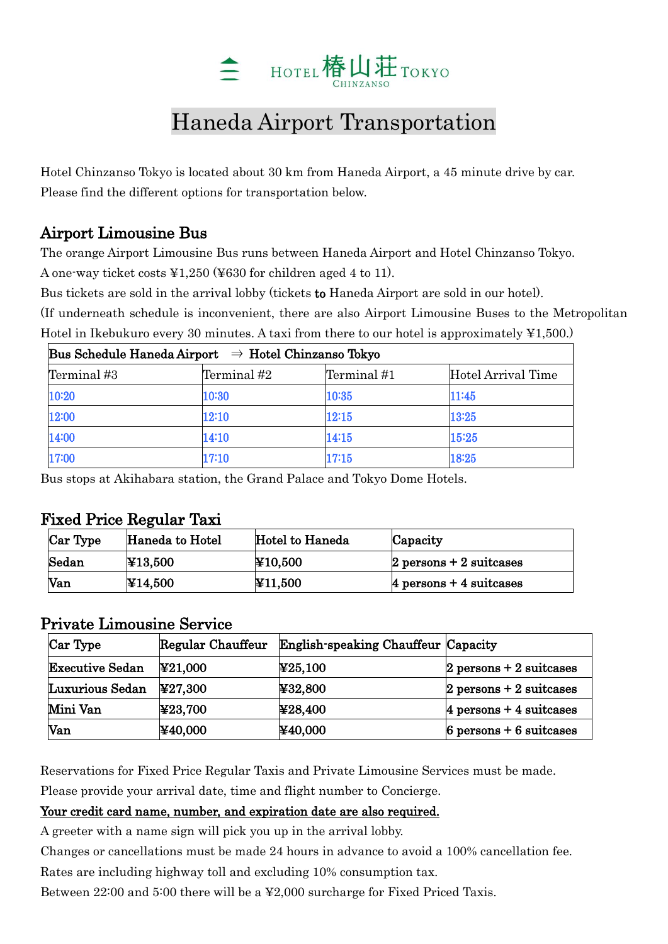

# Haneda Airport Transportation

Hotel Chinzanso Tokyo is located about 30 km from Haneda Airport, a 45 minute drive by car. Please find the different options for transportation below.

### Airport Limousine Bus

The orange Airport Limousine Bus runs between Haneda Airport and Hotel Chinzanso Tokyo. A one-way ticket costs ¥1,250 (¥630 for children aged 4 to 11).

Bus tickets are sold in the arrival lobby (tickets to Haneda Airport are sold in our hotel).

(If underneath schedule is inconvenient, there are also Airport Limousine Buses to the Metropolitan Hotel in Ikebukuro every 30 minutes. A taxi from there to our hotel is approximately ¥1,500.)

| Bus Schedule Haneda Airport $\Rightarrow$ Hotel Chinzanso Tokyo |             |             |                    |  |  |
|-----------------------------------------------------------------|-------------|-------------|--------------------|--|--|
| Terminal #3                                                     | Terminal #2 | Terminal #1 | Hotel Arrival Time |  |  |
| 10:20                                                           | 10:30       | 10:35       | 11:45              |  |  |
| 12:00                                                           | 12:10       | 12:15       | 13:25              |  |  |
| 14:00                                                           | 14:10       | 14:15       | 15:25              |  |  |
| 17:00                                                           | 17:10       | 17:15       | 18:25              |  |  |

Bus stops at Akihabara station, the Grand Palace and Tokyo Dome Hotels.

#### Fixed Price Regular Taxi

| Car Type | Haneda to Hotel | Hotel to Haneda | Capacity                           |
|----------|-----------------|-----------------|------------------------------------|
| Sedan    | ¥13,500         | ¥10,500         | $2$ persons + 2 suitcases          |
| Van      | ¥14,500         | ¥11,500         | $ 4 \rangle$ persons + 4 suitcases |

## Private Limousine Service

| Car Type               | Regular Chauffeur            | English-speaking Chauffeur Capacity |                            |
|------------------------|------------------------------|-------------------------------------|----------------------------|
| <b>Executive Sedan</b> | $\textcolor{blue}{*21,000}$  | $\mathbf{\ddot{4}25,100}$           | $2$ persons $+2$ suitcases |
| Luxurious Sedan        | $\blacktriangleright$ 27,300 | $\blacktriangleright$ ¥32,800       | $2$ persons $+2$ suitcases |
| Mini Van               | $\mathbf{\Psi}23,700$        | ¥28,400                             | $4$ persons + 4 suitcases  |
| Van                    | $\text{$}40,000$             | ¥40,000                             | $6$ persons + 6 suitcases  |

Reservations for Fixed Price Regular Taxis and Private Limousine Services must be made.

Please provide your arrival date, time and flight number to Concierge.

#### Your credit card name, number, and expiration date are also required.

A greeter with a name sign will pick you up in the arrival lobby.

Changes or cancellations must be made 24 hours in advance to avoid a 100% cancellation fee.

Rates are including highway toll and excluding 10% consumption tax.

Between 22:00 and 5:00 there will be a ¥2,000 surcharge for Fixed Priced Taxis.